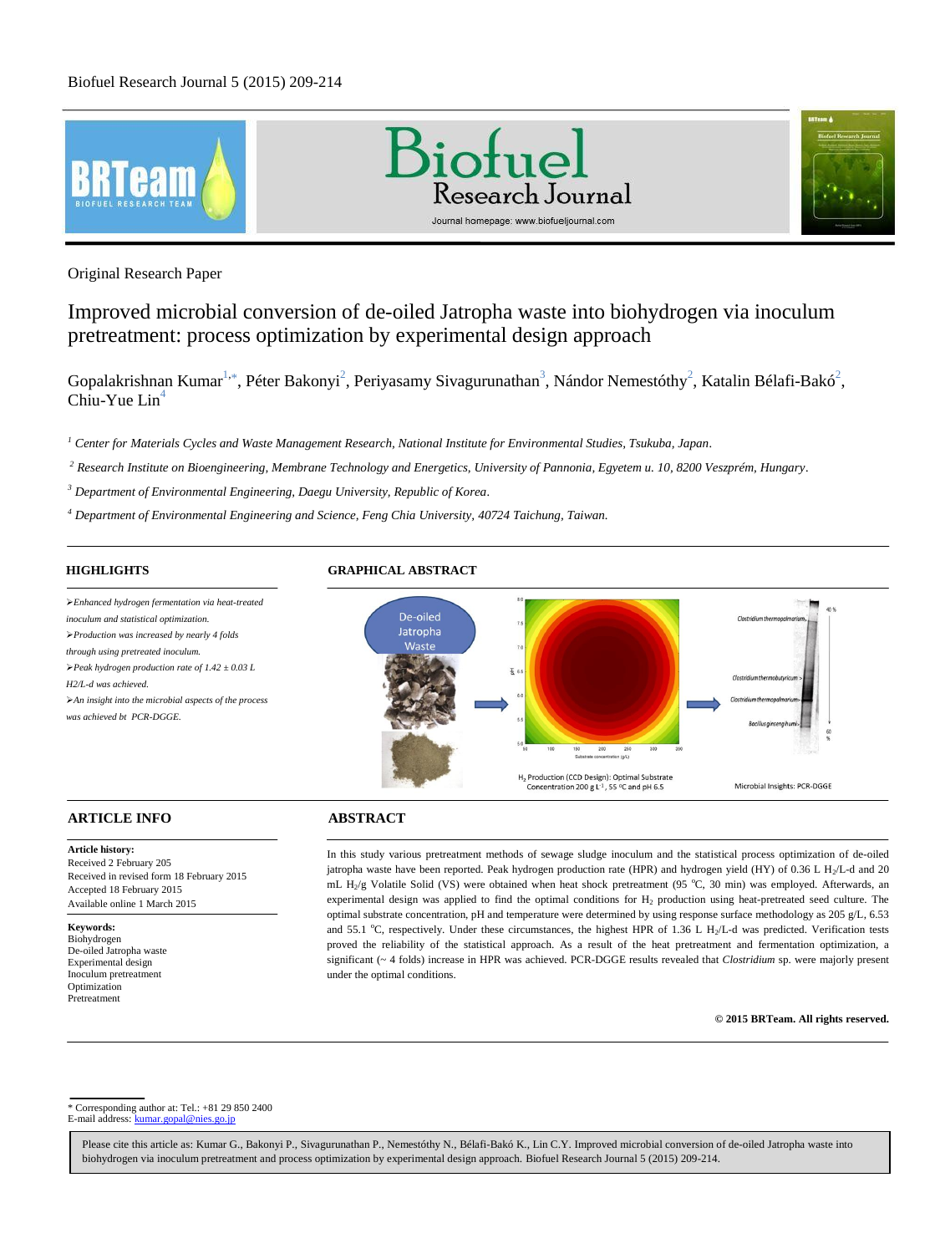





Original Research Paper

# Improved microbial conversion of de-oiled Jatropha waste into biohydrogen via inoculum pretreatment: process optimization by experimental design approach

Gopalakrishnan Kumar<sup>1,\*</sup>, Péter Bakonyi<sup>2</sup>, Periyasamy Sivagurunathan<sup>3</sup>, Nándor Nemestóthy<sup>2</sup>, Katalin Bélafi-Bakó<sup>2</sup>, Chiu-Yue  $Lin<sup>4</sup>$ 

*<sup>1</sup> Center for Materials Cycles and Waste Management Research, National Institute for Environmental Studies, Tsukuba, Japan.*

*<sup>2</sup> Research Institute on Bioengineering, Membrane Technology and Energetics, University of Pannonia, Egyetem u. 10, 8200 Veszprém, Hungary.*

*<sup>3</sup> Department of Environmental Engineering, Daegu University, Republic of Korea.*

*<sup>4</sup> Department of Environmental Engineering and Science, Feng Chia University, 40724 Taichung, Taiwan.*

# **HIGHLIGHTS**

*Enhanced hydrogen fermentation via heat-treated inoculum and statistical optimization. Production was increased by nearly 4 folds through using pretreated inoculum. Peak hydrogen production rate of 1.42 ± 0.03 L H2/L-d was achieved. An insight into the microbial aspects of the process was achieved bt PCR-DGGE.*

# **GRAPHICAL ABSTRACT**



## **ARTICLE INFO ABSTRACT**

**Article history:** Received 2 February 205 Received in revised form 18 February 2015 Accepted 18 February 2015 Available online 1 March 2015

**Keywords:**

Biohydrogen De-oiled Jatropha waste Experimental design Inoculum pretreatment Optimization Pretreatment

In this study various pretreatment methods of sewage sludge inoculum and the statistical process optimization of de-oiled jatropha waste have been reported. Peak hydrogen production rate (HPR) and hydrogen yield (HY) of 0.36 L H<sub>2</sub>/L-d and 20 mL H<sub>2</sub>/g Volatile Solid (VS) were obtained when heat shock pretreatment (95 °C, 30 min) was employed. Afterwards, an experimental design was applied to find the optimal conditions for H<sup>2</sup> production using heat-pretreated seed culture. The optimal substrate concentration, pH and temperature were determined by using response surface methodology as 205 g/L, 6.53 and 55.1 °C, respectively. Under these circumstances, the highest HPR of 1.36 L H<sub>2</sub>/L-d was predicted. Verification tests proved the reliability of the statistical approach. As a result of the heat pretreatment and fermentation optimization, a significant (~ 4 folds) increase in HPR was achieved. PCR-DGGE results revealed that *Clostridium* sp. were majorly present under the optimal conditions.

**© 2015 BRTeam. All rights reserved.**

\* Corresponding author at: Tel.: +81 29 850 2400 E-mail address: kumar.gopal@nies.go.jp

Please cite this article as: Kumar G., Bakonyi P., Sivagurunathan P., Nemestóthy N., Bélafi-Bakó K., Lin C.Y. Improved microbial conversion of de-oiled Jatropha waste into biohydrogen via inoculum pretreatment and process optimization by experimental design approach. Biofuel Research Journal 5 (2015) 209-214.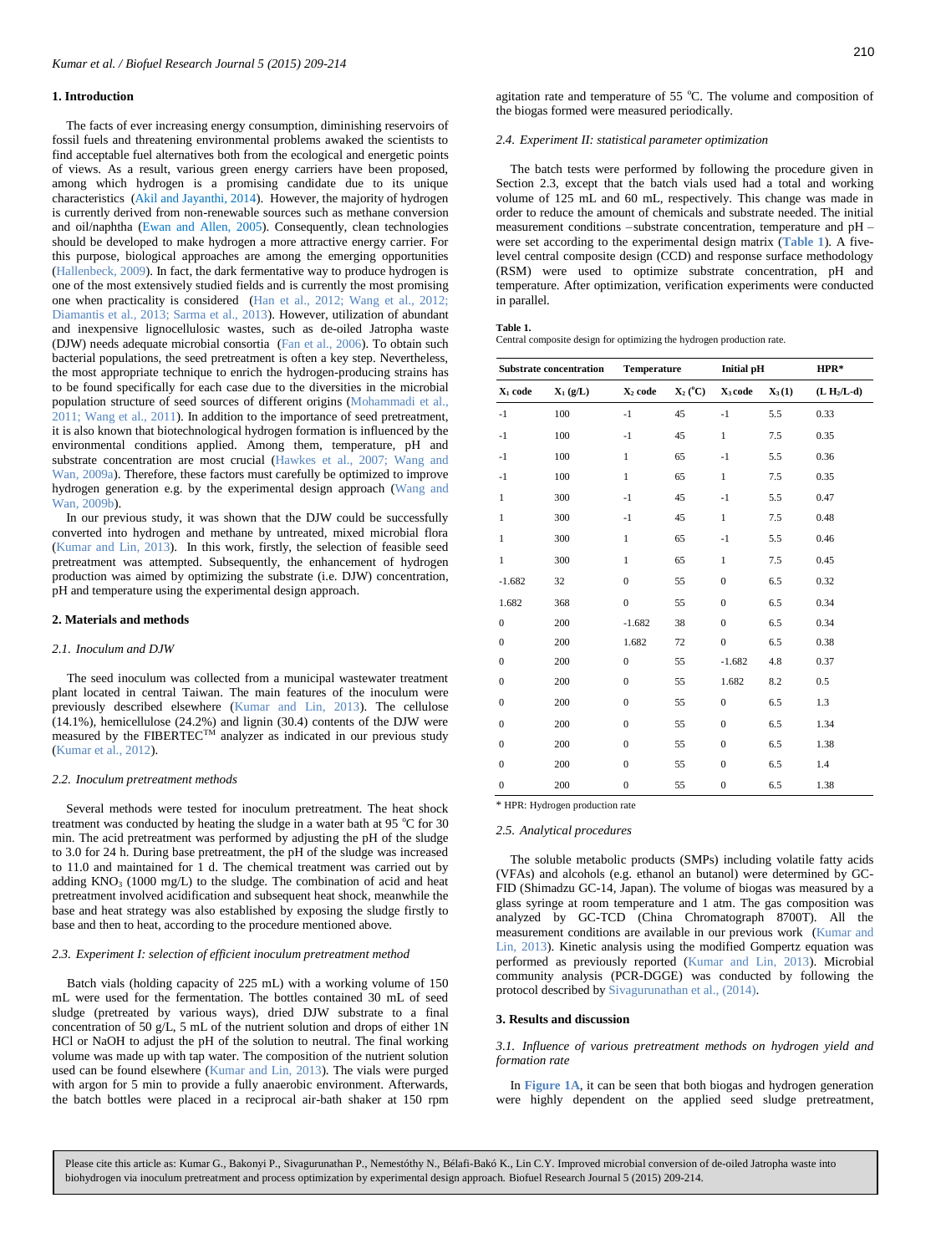### **1. Introduction**

The facts of ever increasing energy consumption, diminishing reservoirs of fossil fuels and threatening environmental problems awaked the scientists to find acceptable fuel alternatives both from the ecological and energetic points of views. As a result, various green energy carriers have been proposed, among which hydrogen is a promising candidate due to its unique characteristics (Akil and Jayanthi, 2014). However, the majority of hydrogen is currently derived from non-renewable sources such as methane conversion and oil/naphtha (Ewan and Allen, 2005). Consequently, clean technologies should be developed to make hydrogen a more attractive energy carrier. For this purpose, biological approaches are among the emerging opportunities (Hallenbeck, 2009). In fact, the dark fermentative way to produce hydrogen is one of the most extensively studied fields and is currently the most promising one when practicality is considered (Han et al., 2012; Wang et al., 2012; Diamantis et al., 2013; Sarma et al., 2013). However, utilization of abundant and inexpensive lignocellulosic wastes, such as de-oiled Jatropha waste (DJW) needs adequate microbial consortia (Fan et al., 2006). To obtain such bacterial populations, the seed pretreatment is often a key step. Nevertheless, the most appropriate technique to enrich the hydrogen-producing strains has to be found specifically for each case due to the diversities in the microbial population structure of seed sources of different origins (Mohammadi et al., 2011; Wang et al., 2011). In addition to the importance of seed pretreatment, it is also known that biotechnological hydrogen formation is influenced by the environmental conditions applied. Among them, temperature, pH and substrate concentration are most crucial (Hawkes et al., 2007; Wang and Wan, 2009a). Therefore, these factors must carefully be optimized to improve hydrogen generation e.g. by the experimental design approach (Wang and Wan, 2009b).

In our previous study, it was shown that the DJW could be successfully converted into hydrogen and methane by untreated, mixed microbial flora (Kumar and Lin, 2013). In this work, firstly, the selection of feasible seed pretreatment was attempted. Subsequently, the enhancement of hydrogen production was aimed by optimizing the substrate (i.e. DJW) concentration, pH and temperature using the experimental design approach.

#### **2. Materials and methods**

#### *2.1. Inoculum and DJW*

The seed inoculum was collected from a municipal wastewater treatment plant located in central Taiwan. The main features of the inoculum were previously described elsewhere (Kumar and Lin, 2013). The cellulose  $(14.1\%)$ , hemicellulose  $(24.2\%)$  and lignin  $(30.4)$  contents of the DJW were measured by the FIBERTEC<sup>TM</sup> analyzer as indicated in our previous study (Kumar et al., 2012).

#### *2.2. Inoculum pretreatment methods*

Several methods were tested for inoculum pretreatment. The heat shock treatment was conducted by heating the sludge in a water bath at 95  $^{\circ}$ C for 30 min. The acid pretreatment was performed by adjusting the pH of the sludge to 3.0 for 24 h. During base pretreatment, the pH of the sludge was increased to 11.0 and maintained for 1 d. The chemical treatment was carried out by adding  $KNO<sub>3</sub>$  (1000 mg/L) to the sludge. The combination of acid and heat pretreatment involved acidification and subsequent heat shock, meanwhile the base and heat strategy was also established by exposing the sludge firstly to base and then to heat, according to the procedure mentioned above.

#### *2.3. Experiment I: selection of efficient inoculum pretreatment method*

Batch vials (holding capacity of 225 mL) with a working volume of 150 mL were used for the fermentation. The bottles contained 30 mL of seed sludge (pretreated by various ways), dried DJW substrate to a final concentration of 50 g/L, 5 mL of the nutrient solution and drops of either 1N HCl or NaOH to adjust the pH of the solution to neutral. The final working volume was made up with tap water. The composition of the nutrient solution used can be found elsewhere (Kumar and Lin, 2013). The vials were purged with argon for 5 min to provide a fully anaerobic environment. Afterwards, the batch bottles were placed in a reciprocal air-bath shaker at 150 rpm agitation rate and temperature of  $55^{\circ}$ C. The volume and composition of the biogas formed were measured periodically.

#### *2.4. Experiment II: statistical parameter optimization*

The batch tests were performed by following the procedure given in Section 2.3, except that the batch vials used had a total and working volume of 125 mL and 60 mL, respectively. This change was made in order to reduce the amount of chemicals and substrate needed. The initial measurement conditions –substrate concentration, temperature and pH – were set according to the experimental design matrix (**Table 1**). A fivelevel central composite design (CCD) and response surface methodology (RSM) were used to optimize substrate concentration, pH and temperature. After optimization, verification experiments were conducted in parallel.

|  | ۱ |  |  |  |
|--|---|--|--|--|
|--|---|--|--|--|

**Table 1.**  Central composite design for optimizing the hydrogen production rate.

| Substrate concentration |            | <b>Temperature</b>  |                                         | <b>Initial pH</b> |          | $HPR*$      |  |
|-------------------------|------------|---------------------|-----------------------------------------|-------------------|----------|-------------|--|
| $X_1$ code              | $X_1(g/L)$ | X <sub>2</sub> code | $\mathbf{X}_2(^{\mathrm{o}}\mathbf{C})$ | $X_3$ code        | $X_3(1)$ | $(L H/L-d)$ |  |
| $-1$                    | 100        | $-1$                | 45                                      | $-1$              | 5.5      | 0.33        |  |
| $-1$                    | 100        | $-1$                | 45                                      | $\mathbf{1}$      | 7.5      | 0.35        |  |
| $-1$                    | 100        | $\mathbf{1}$        | 65                                      | $-1$              | 5.5      | 0.36        |  |
| $-1$                    | 100        | $\mathbf{1}$        | 65                                      | $\mathbf{1}$      | 7.5      | 0.35        |  |
| $\mathbf{1}$            | 300        | $-1$                | 45                                      | $-1$              | 5.5      | 0.47        |  |
| $\mathbf{1}$            | 300        | $-1$                | 45                                      | $\mathbf{1}$      | 7.5      | 0.48        |  |
| $\mathbf{1}$            | 300        | $\mathbf{1}$        | 65                                      | $-1$              | 5.5      | 0.46        |  |
| $\mathbf{1}$            | 300        | $\mathbf{1}$        | 65                                      | $\mathbf{1}$      | 7.5      | 0.45        |  |
| $-1.682$                | 32         | $\mathbf{0}$        | 55                                      | $\overline{0}$    | 6.5      | 0.32        |  |
| 1.682                   | 368        | $\boldsymbol{0}$    | 55                                      | $\overline{0}$    | 6.5      | 0.34        |  |
| $\boldsymbol{0}$        | 200        | $-1.682$            | 38                                      | $\overline{0}$    | 6.5      | 0.34        |  |
| $\mathbf{0}$            | 200        | 1.682               | 72                                      | $\overline{0}$    | 6.5      | 0.38        |  |
| $\boldsymbol{0}$        | 200        | $\mathbf{0}$        | 55                                      | $-1.682$          | 4.8      | 0.37        |  |
| $\boldsymbol{0}$        | 200        | $\mathbf{0}$        | 55                                      | 1.682             | 8.2      | 0.5         |  |
| $\mathbf{0}$            | 200        | $\mathbf{0}$        | 55                                      | $\overline{0}$    | 6.5      | 1.3         |  |
| $\mathbf{0}$            | 200        | $\mathbf{0}$        | 55                                      | $\overline{0}$    | 6.5      | 1.34        |  |
| $\boldsymbol{0}$        | 200        | $\mathbf{0}$        | 55                                      | $\overline{0}$    | 6.5      | 1.38        |  |
| $\boldsymbol{0}$        | 200        | $\boldsymbol{0}$    | 55                                      | $\boldsymbol{0}$  | 6.5      | 1.4         |  |
| $\mathbf{0}$            | 200        | $\mathbf{0}$        | 55                                      | $\overline{0}$    | 6.5      | 1.38        |  |

\* HPR: Hydrogen production rate

#### *2.5. Analytical procedures*

The soluble metabolic products (SMPs) including volatile fatty acids (VFAs) and alcohols (e.g. ethanol an butanol) were determined by GC-FID (Shimadzu GC-14, Japan). The volume of biogas was measured by a glass syringe at room temperature and 1 atm. The gas composition was analyzed by GC-TCD (China Chromatograph 8700T). All the measurement conditions are available in our previous work (Kumar and Lin, 2013). Kinetic analysis using the modified Gompertz equation was performed as previously reported (Kumar and Lin, 2013). Microbial community analysis (PCR-DGGE) was conducted by following the protocol described by Sivagurunathan et al., (2014).

#### **3. Results and discussion**

*3.1. Influence of various pretreatment methods on hydrogen yield and formation rate*

In **Figure 1A**, it can be seen that both biogas and hydrogen generation were highly dependent on the applied seed sludge pretreatment,

Please cite this article as: Kumar G., Bakonyi P., Sivagurunathan P., Nemestóthy N., Bélafi-Bakó K., Lin C.Y. Improved microbial conversion of de-oiled Jatropha waste into biohydrogen via inoculum pretreatment and process optimization by experimental design approach. Biofuel Research Journal 5 (2015) 209-214.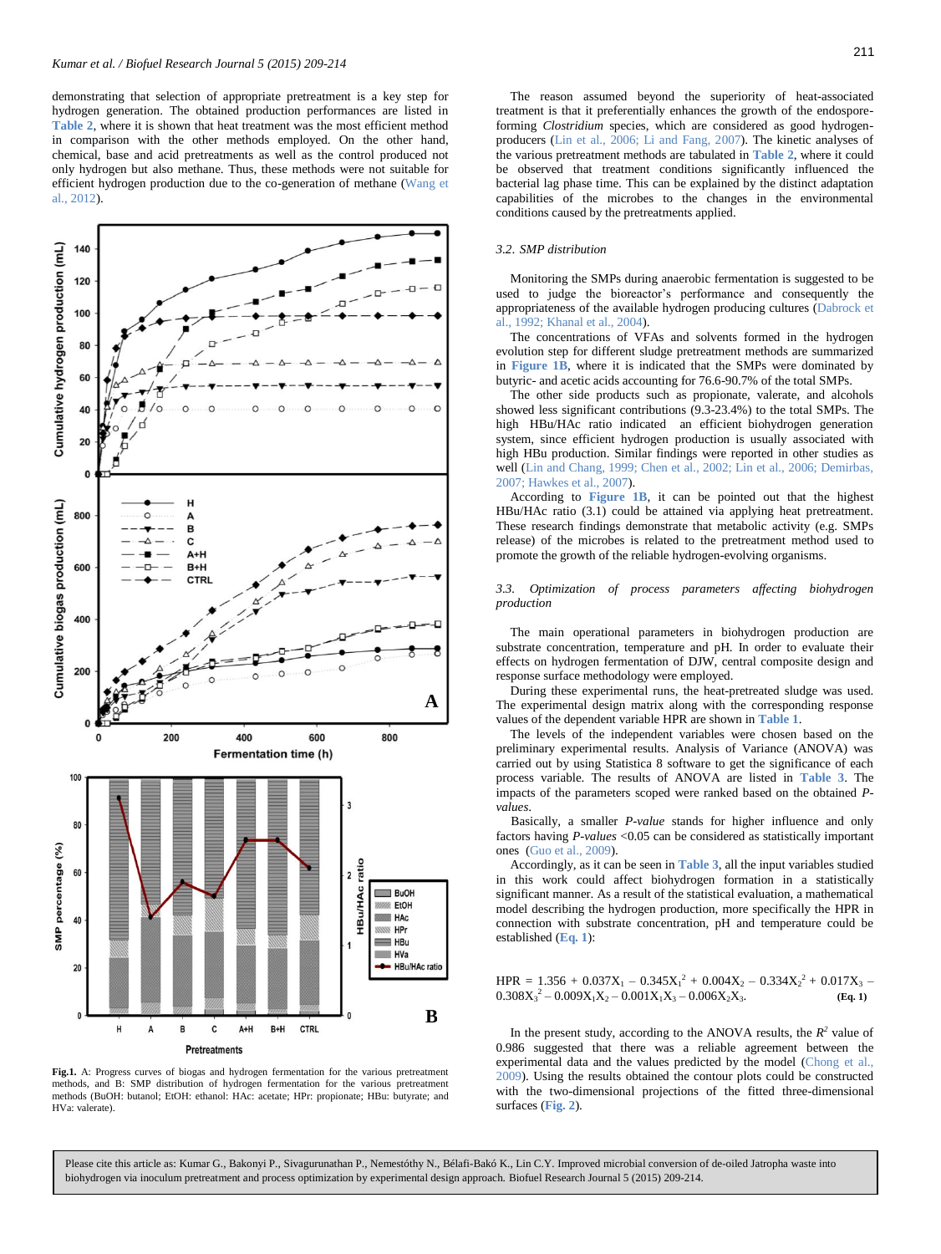demonstrating that selection of appropriate pretreatment is a key step for hydrogen generation. The obtained production performances are listed in **Table 2**, where it is shown that heat treatment was the most efficient method in comparison with the other methods employed. On the other hand, chemical, base and acid pretreatments as well as the control produced not only hydrogen but also methane. Thus, these methods were not suitable for efficient hydrogen production due to the co-generation of methane (Wang et al., 2012).



**Fig.1.** A: Progress curves of biogas and hydrogen fermentation for the various pretreatment methods, and B: SMP distribution of hydrogen fermentation for the various pretreatment methods (BuOH: butanol; EtOH: ethanol: HAc: acetate; HPr: propionate; HBu: butyrate; and HVa: valerate).

The reason assumed beyond the superiority of heat-associated treatment is that it preferentially enhances the growth of the endosporeforming *Clostridium* species, which are considered as good hydrogenproducers (Lin et al., 2006; Li and Fang, 2007). The kinetic analyses of the various pretreatment methods are tabulated in **Table 2**, where it could be observed that treatment conditions significantly influenced the bacterial lag phase time. This can be explained by the distinct adaptation capabilities of the microbes to the changes in the environmental conditions caused by the pretreatments applied.

#### *3.2*. *SMP distribution*

Monitoring the SMPs during anaerobic fermentation is suggested to be used to judge the bioreactor's performance and consequently the appropri[ateness of the availab](#page-5-0)le hydrogen producing cultures (Dabrock et al., 1992; Khanal et al., 2004).

The concentrations of VFAs and solvents formed in the hydrogen evolution step for different sludge pretreatment methods are summarized in **Figure 1B**, where it is indicated that the SMPs were dominated by butyric- and acetic acids accounting for 76.6-90.7% of the total SMPs.

The other side products such as propionate, valerate, and alcohols showed less significant contributions (9.3-23.4%) to the total SMPs. The high HBu/HAc ratio indicated an efficient biohydrogen generation system, since efficient hydrogen production is usually associated with high HBu production. Similar findings were reported in other studies as well (Lin and Chang, 1999; Chen et al., 2002; Lin et al., 2006; Demirbas, 2007; Hawkes et al., 2007).

According to **Figure 1B**, it can be pointed out that the highest HBu/HAc ratio (3.1) could be attained via applying heat pretreatment. These research findings demonstrate that metabolic activity (e.g. SMPs release) of the microbes is related to the pretreatment method used to promote the growth of the reliable hydrogen-evolving organisms.

#### *3.3. Optimization of process parameters affecting biohydrogen production*

The main operational parameters in biohydrogen production are substrate concentration, temperature and pH. In order to evaluate their effects on hydrogen fermentation of DJW, central composite design and response surface methodology were employed.

During these experimental runs, the heat-pretreated sludge was used. The experimental design matrix along with the corresponding response values of the dependent variable HPR are shown in **Table 1**.

The levels of the independent variables were chosen based on the preliminary experimental results. Analysis of Variance (ANOVA) was carried out by using Statistica 8 software to get the significance of each process variable. The results of ANOVA are listed in **Table 3**. The impacts of the parameters scoped were ranked based on the obtained *Pvalues*.

Basically, a smaller *P-value* stands for higher influence and only factors having *P-values* <0.05 can be considered as statistically important ones (Guo et al., 2009).

Accordingly, as it can be seen in **Table 3**, all the input variables studied in this work could affect biohydrogen formation in a statistically significant manner. As a result of the statistical evaluation, a mathematical model describing the hydrogen production, more specifically the HPR in connection with substrate concentration, pH and temperature could be established (**Eq. 1**):

 $HPR = 1.356 + 0.037X_1 - 0.345X_1^2 + 0.004X_2 - 0.334X_2^2 + 0.017X_3$  $0.308X_3^2 - 0.009X_1X_2 - 0.001X_1X_3 - 0.006X_2X_3.$  **(Eq. 1)** 

In the present study, according to the ANOVA results, the  $R^2$  value of 0.986 suggested that there was a reliable agreement between the experimental data and the values predicted by the model (Chong et al., 2009). Using the results obtained the contour plots could be constructed with the two-dimensional projections of the fitted three-dimensional surfaces (**Fig. 2**).

Please cite this article as: Kumar G., Bakonyi P., Sivagurunathan P., Nemestóthy N., Bélafi-Bakó K., Lin C.Y. Improved microbial conversion of de-oiled Jatropha waste into biohydrogen via inoculum pretreatment and process optimization by experimental design approach. Biofuel Research Journal 5 (2015) 209-214.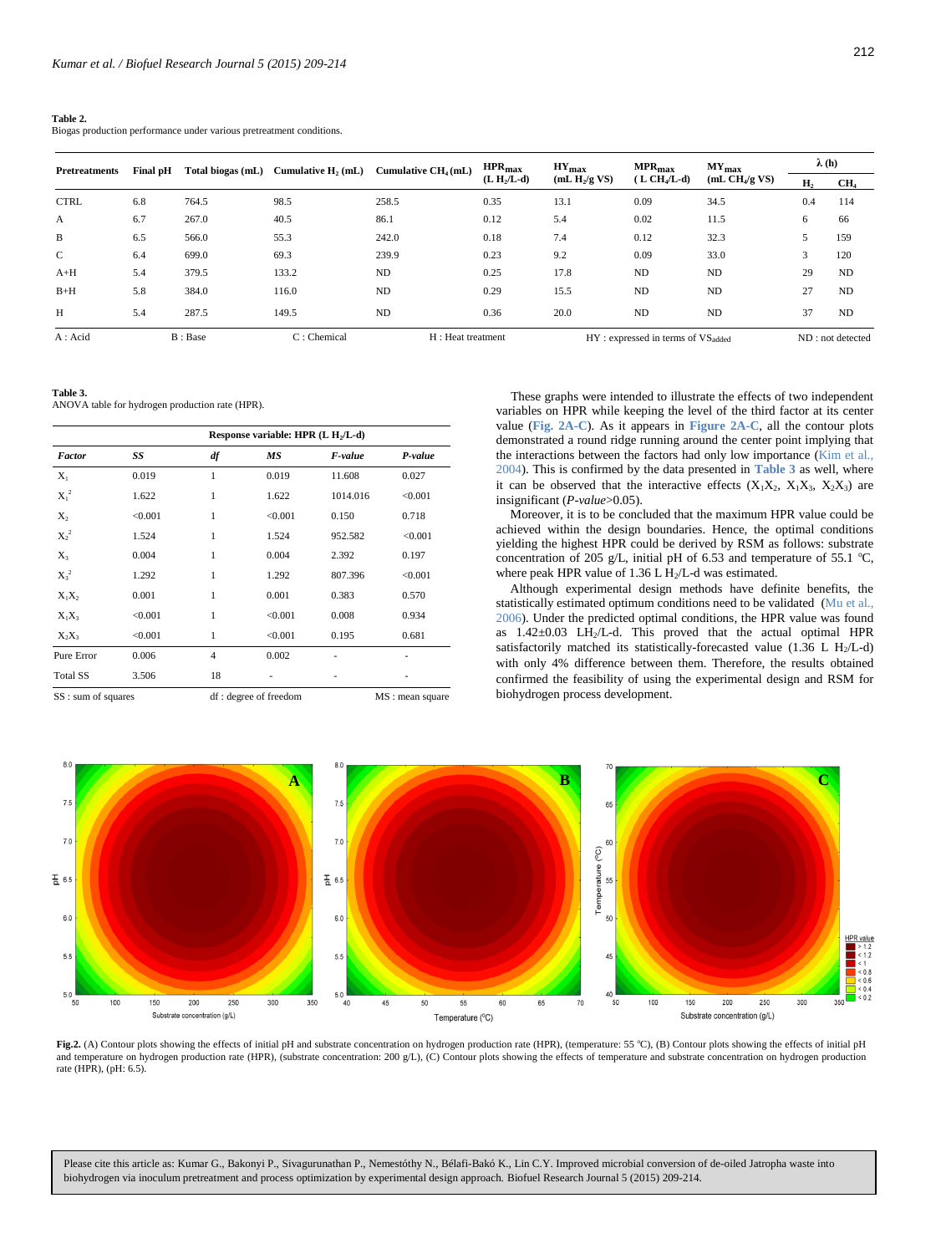**Table 2.** 

Biogas production performance under various pretreatment conditions.

212

| <b>Pretreatments</b> | Final pH | Total biogas (mL) | Cumulative $H$ , $(mL)$ | Cumulative $CH4(mL)$ | $HPR_{\text{max}}$<br>$(L H2/L-d)$ | $HY_{max}$<br>(mL $H_2/g$ VS) | $MPR_{max}$<br>$(L CHa/L-d)$           | $MY_{max}$<br>(mL CH <sub>4</sub> /g VS) | $\lambda(h)$ |                  |
|----------------------|----------|-------------------|-------------------------|----------------------|------------------------------------|-------------------------------|----------------------------------------|------------------------------------------|--------------|------------------|
|                      |          |                   |                         |                      |                                    |                               |                                        |                                          | Н,           | CH <sub>4</sub>  |
| <b>CTRL</b>          | 6.8      | 764.5             | 98.5                    | 258.5                | 0.35                               | 13.1                          | 0.09                                   | 34.5                                     | 0.4          | 114              |
| $\mathbf{A}$         | 6.7      | 267.0             | 40.5                    | 86.1                 | 0.12                               | 5.4                           | 0.02                                   | 11.5                                     | 6            | 66               |
| B                    | 6.5      | 566.0             | 55.3                    | 242.0                | 0.18                               | 7.4                           | 0.12                                   | 32.3                                     |              | 159              |
| $\mathbf{C}$         | 6.4      | 699.0             | 69.3                    | 239.9                | 0.23                               | 9.2                           | 0.09                                   | 33.0                                     | 3            | 120              |
| $A+H$                | 5.4      | 379.5             | 133.2                   | <b>ND</b>            | 0.25                               | 17.8                          | <b>ND</b>                              | <b>ND</b>                                | 29           | <b>ND</b>        |
| $B+H$                | 5.8      | 384.0             | 116.0                   | <b>ND</b>            | 0.29                               | 15.5                          | <b>ND</b>                              | <b>ND</b>                                | 27           | <b>ND</b>        |
| H                    | 5.4      | 287.5             | 149.5                   | <b>ND</b>            | 0.36                               | 20.0                          | <b>ND</b>                              | <b>ND</b>                                | 37           | <b>ND</b>        |
| $A: \text{Acid}$     |          | B: Base           | $C:$ Chemical           | H: Heat treatment    |                                    |                               | $HY: expressed in terms of VS_{added}$ |                                          |              | ND: not detected |

**Table 3.** 

ANOVA table for hydrogen production rate (HPR).

| Response variable: HPR $(L H_2/L-d)$ |         |                |         |          |         |  |  |
|--------------------------------------|---------|----------------|---------|----------|---------|--|--|
| Factor                               | SS      | df             | MS      | F-value  | P-value |  |  |
| $X_1$                                | 0.019   | $\mathbf{1}$   | 0.019   | 11.608   | 0.027   |  |  |
| $X_1^2$                              | 1.622   | 1              | 1.622   | 1014.016 | < 0.001 |  |  |
| $X_2$                                | < 0.001 | 1              | < 0.001 | 0.150    | 0.718   |  |  |
| $X_2^2$                              | 1.524   | $\mathbf{1}$   | 1.524   | 952.582  | < 0.001 |  |  |
| $X_3$                                | 0.004   | 1              | 0.004   | 2.392    | 0.197   |  |  |
| $X_3^2$                              | 1.292   | $\mathbf{1}$   | 1.292   | 807.396  | < 0.001 |  |  |
| $X_1X_2$                             | 0.001   | 1              | 0.001   | 0.383    | 0.570   |  |  |
| $X_1X_3$                             | < 0.001 | $\mathbf{1}$   | < 0.001 | 0.008    | 0.934   |  |  |
| $X_2X_3$                             | < 0.001 | 1              | < 0.001 | 0.195    | 0.681   |  |  |
| Pure Error                           | 0.006   | $\overline{4}$ | 0.002   |          |         |  |  |
| <b>Total SS</b>                      | 3.506   | 18             |         |          |         |  |  |

SS : sum of squares df : degree of freedom MS : mean square

These graphs were intended to illustrate the effects of two independent variables on HPR while keeping the level of the third factor at its center value (**Fig. 2A-C**). As it appears in **Figure 2A-C**, all the contour plots demonstrated a round ridge running around the center point implying that the interactions between the factors had only low importance (Kim et al., 2004). This is confirmed by the data presented in **Table 3** as well, where it can be observed that the interactive effects  $(X_1X_2, X_1X_3, X_2X_3)$  are insignificant (*P-value*>0.05).

Moreover, it is to be concluded that the maximum HPR value could be achieved within the design boundaries. Hence, the optimal conditions yielding the highest HPR could be derived by RSM as follows: substrate concentration of 205 g/L, initial pH of 6.53 and temperature of 55.1  $^{\circ}$ C, where peak HPR value of 1.36 L  $H<sub>2</sub>/L$ -d was estimated.

Although experimental design methods have definite benefits, the statistically estimated optimum conditions need to be validated (Mu et al., 2006). Under the predicted optimal conditions, the HPR value was found as 1.42±0.03 LH2/L-d. This proved that the actual optimal HPR satisfactorily matched its statistically-forecasted value  $(1.36 \text{ L H}_2/\text{L-d})$ with only 4% difference between them. Therefore, the results obtained confirmed the feasibility of using the experimental design and RSM for biohydrogen process development.



and temperature on hydrogen production rate (HPR), (substrate concentration: 200 g/L), (C) Contour plots showing the effects of temperature and substrate concentration on hydrogen production<br>rate (HPR) (pH·6.5) Fig.2. (A) Contour plots showing the effects of initial pH and substrate concentration on hydrogen production rate (HPR), (temperature: 55 °C), (B) Contour plots showing the effects of initial pH rate (HPR), (pH: 6.5).

Please cite this article as: Kumar G., Bakonyi P., Sivagurunathan P., Nemestóthy N., Bélafi-Bakó K., Lin C.Y. Improved microbial conversion of de-oiled Jatropha waste into biohydrogen via inoculum pretreatment and process optimization by experimental design approach. Biofuel Research Journal 5 (2015) 209-214.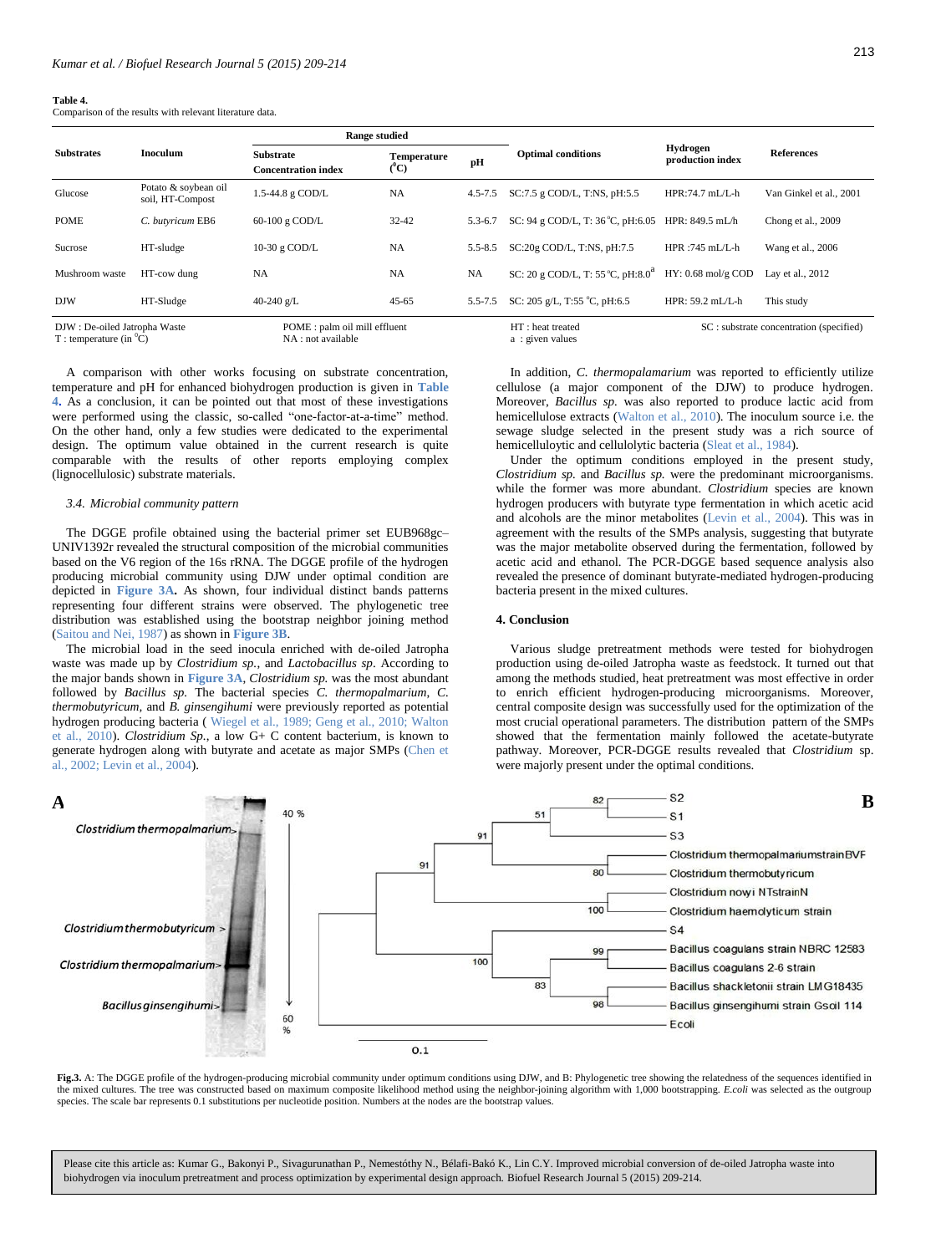#### **Table 4.**

Comparison of the results with relevant literature data.

|                                                             | Inoculum                                 | <b>Range studied</b>                                |                               |             |                                               |                                     |                                         |
|-------------------------------------------------------------|------------------------------------------|-----------------------------------------------------|-------------------------------|-------------|-----------------------------------------------|-------------------------------------|-----------------------------------------|
| <b>Substrates</b>                                           |                                          | <b>Substrate</b><br><b>Concentration index</b>      | <b>Temperature</b><br>$(^0C)$ | pH          | <b>Optimal conditions</b>                     | <b>Hydrogen</b><br>production index | <b>References</b>                       |
| Glucose                                                     | Potato & soybean oil<br>soil, HT-Compost | 1.5-44.8 g COD/L                                    | <b>NA</b>                     | $4.5 - 7.5$ | SC:7.5 g COD/L, T:NS, pH:5.5                  | $HPR:74.7 mL/L-h$                   | Van Ginkel et al., 2001                 |
| <b>POME</b>                                                 | C. butyricum EB6                         | 60-100 g COD/L                                      | $32 - 42$                     | $5.3 - 6.7$ | SC: 94 g COD/L, T: $36^{\circ}$ C, pH:6.05    | HPR: 849.5 mL/h                     | Chong et al., 2009                      |
| Sucrose                                                     | HT-sludge                                | 10-30 g COD/L                                       | <b>NA</b>                     | $5.5 - 8.5$ | SC:20g COD/L, T:NS, pH:7.5                    | $HPR:745$ mL/L-h                    | Wang et al., 2006                       |
| Mushroom waste                                              | HT-cow dung                              | NA                                                  | <b>NA</b>                     | NA          | SC: 20 g COD/L, T: 55 °C, pH:8.0 <sup>a</sup> | $HY: 0.68$ mol/g COD                | Lay et al., 2012                        |
| <b>DJW</b>                                                  | HT-Sludge                                | 40-240 $g/L$                                        | $45 - 65$                     | $5.5 - 7.5$ | SC: 205 g/L, T:55 °C, pH:6.5                  | HPR: $59.2$ mL/L-h                  | This study                              |
| DJW: De-oiled Jatropha Waste<br>T : temperature (in $^0C$ ) |                                          | POME : palm oil mill effluent<br>NA : not available |                               |             | HT: heat treated<br>a: given values           |                                     | SC: substrate concentration (specified) |

A comparison with other works focusing on substrate concentration, temperature and pH for enhanced biohydrogen production is given in **Table 4.** As a conclusion, it can be pointed out that most of these investigations were performed using the classic, so-called "one-factor-at-a-time" method. On the other hand, only a few studies were dedicated to the experimental design. The optimum value obtained in the current research is quite comparable with the results of other reports employing complex (lignocellulosic) substrate materials.

#### *3.4. Microbial community pattern*

The DGGE profile obtained using the bacterial primer set EUB968gc– UNIV1392r revealed the structural composition of the microbial communities based on the V6 region of the 16s rRNA. The DGGE profile of the hydrogen producing microbial community using DJW under optimal condition are depicted in **Figure 3A.** As shown, four individual distinct bands patterns representing four different strains were observed. The phylogenetic tree distribution was established using the bootstrap neighbor joining method (Saitou and Nei, 1987) as shown in **Figure 3B**.

The microbial load in the seed inocula enriched with de-oiled Jatropha waste was made up by *Clostridium sp.*, and *Lactobacillus sp*. According to the major bands shown in **Figure 3A**, *Clostridium sp.* was the most abundant followed by *Bacillus sp.* The bacterial species *C. thermopalmarium*, *C. thermobutyricum,* and *B. ginsengihumi* were previously reported as potential hydrogen producing bacteria ( Wiegel et al., 1989; Geng et al., 2010; Walton et al., 2010). *Clostridium Sp.*, a low G+ C content bacterium, is known to generate hydrogen along with butyrate and acetate as major SMPs (Chen et al., 2002; Levin et al., 2004).

In addition, *C. thermopalamarium* was reported to efficiently utilize cellulose (a major component of the DJW) to produce hydrogen. Moreover, *Bacillus sp.* was also reported to produce lactic acid from hemicellulose extracts (Walton et al., 2010). The inoculum source i.e. the sewage sludge selected in the present study was a rich source of hemicelluloytic and cellulolytic bacteria (Sleat et al., 1984).

Under the optimum conditions employed in the present study, *Clostridium sp.* and *Bacillus sp.* were the predominant microorganisms. while the former was more abundant. *Clostridium* species are known hydrogen producers with butyrate type fermentation in which acetic acid and alcohols are the minor metabolites (Levin et al., 2004). This was in agreement with the results of the SMPs analysis, suggesting that butyrate was the major metabolite observed during the fermentation, followed by acetic acid and ethanol. The PCR-DGGE based sequence analysis also revealed the presence of dominant butyrate-mediated hydrogen-producing bacteria present in the mixed cultures.

#### **4. Conclusion**

Various sludge pretreatment methods were tested for biohydrogen production using de-oiled Jatropha waste as feedstock. It turned out that among the methods studied, heat pretreatment was most effective in order to enrich efficient hydrogen-producing microorganisms. Moreover, central composite design was successfully used for the optimization of the most crucial operational parameters. The distribution pattern of the SMPs showed that the fermentation mainly followed the acetate-butyrate pathway. Moreover, PCR-DGGE results revealed that *Clostridium* sp. were majorly present under the optimal conditions.



the mixed cultures. The tree was constructed based on maximum composite likelihood method using the neighbor-joining algorithm with 1,000 bootstrapping. *E.coli* was selected as the outgroup **Fig.3.** A: The DGGE profile of the hydrogen-producing microbial community under optimum conditions using DJW, and B: Phylogenetic tree showing the relatedness of the sequences identified in species. The scale bar represents 0.1 substitutions per nucleotide position. Numbers at the nodes are the bootstrap values.

Please cite this article as: Kumar G., Bakonyi P., Sivagurunathan P., Nemestóthy N., Bélafi-Bakó K., Lin C.Y. Improved microbial conversion of de-oiled Jatropha waste into biohydrogen via inoculum pretreatment and process optimization by experimental design approach. Biofuel Research Journal 5 (2015) 209-214.